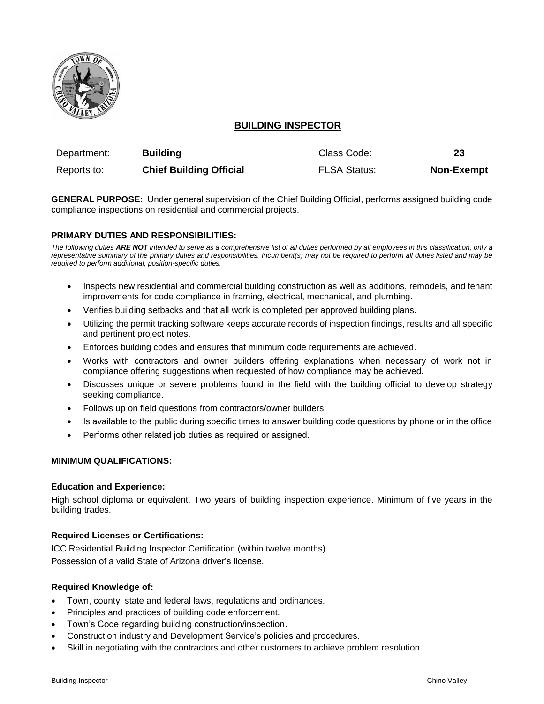

# **BUILDING INSPECTOR**

| Department: | <b>Building</b>                | Class Code:         | 23                |
|-------------|--------------------------------|---------------------|-------------------|
| Reports to: | <b>Chief Building Official</b> | <b>FLSA Status:</b> | <b>Non-Exempt</b> |

**GENERAL PURPOSE:** Under general supervision of the Chief Building Official, performs assigned building code compliance inspections on residential and commercial projects.

## **PRIMARY DUTIES AND RESPONSIBILITIES:**

*The following duties ARE NOT intended to serve as a comprehensive list of all duties performed by all employees in this classification, only a representative summary of the primary duties and responsibilities. Incumbent(s) may not be required to perform all duties listed and may be required to perform additional, position-specific duties.*

- Inspects new residential and commercial building construction as well as additions, remodels, and tenant improvements for code compliance in framing, electrical, mechanical, and plumbing.
- Verifies building setbacks and that all work is completed per approved building plans.
- Utilizing the permit tracking software keeps accurate records of inspection findings, results and all specific and pertinent project notes.
- Enforces building codes and ensures that minimum code requirements are achieved.
- Works with contractors and owner builders offering explanations when necessary of work not in compliance offering suggestions when requested of how compliance may be achieved.
- Discusses unique or severe problems found in the field with the building official to develop strategy seeking compliance.
- Follows up on field questions from contractors/owner builders.
- Is available to the public during specific times to answer building code questions by phone or in the office
- Performs other related job duties as required or assigned.

## **MINIMUM QUALIFICATIONS:**

#### **Education and Experience:**

High school diploma or equivalent. Two years of building inspection experience. Minimum of five years in the building trades.

#### **Required Licenses or Certifications:**

ICC Residential Building Inspector Certification (within twelve months). Possession of a valid State of Arizona driver's license.

### **Required Knowledge of:**

- Town, county, state and federal laws, regulations and ordinances.
- Principles and practices of building code enforcement.
- Town's Code regarding building construction/inspection.
- Construction industry and Development Service's policies and procedures.
- Skill in negotiating with the contractors and other customers to achieve problem resolution.